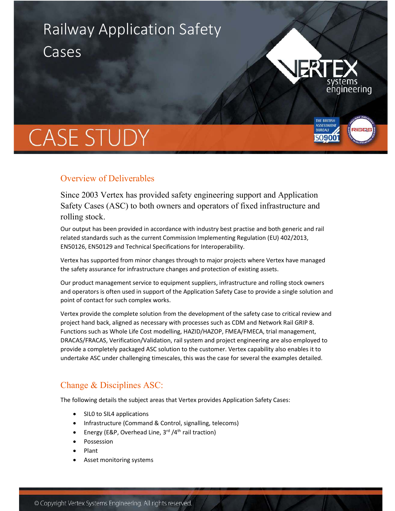# Railway Application Safety Cases



**THE BRITISH BUREAU** 

50900

# **CASE STUDY**

## Overview of Deliverables

Since 2003 Vertex has provided safety engineering support and Application Safety Cases (ASC) to both owners and operators of fixed infrastructure and rolling stock.

Our output has been provided in accordance with industry best practise and both generic and rail related standards such as the current Commission Implementing Regulation (EU) 402/2013, EN50126, EN50129 and Technical Specifications for Interoperability.

Vertex has supported from minor changes through to major projects where Vertex have managed the safety assurance for infrastructure changes and protection of existing assets.

Our product management service to equipment suppliers, infrastructure and rolling stock owners and operators is often used in support of the Application Safety Case to provide a single solution and point of contact for such complex works.

Vertex provide the complete solution from the development of the safety case to critical review and project hand back, aligned as necessary with processes such as CDM and Network Rail GRIP 8. Functions such as Whole Life Cost modelling, HAZID/HAZOP, FMEA/FMECA, trial management, DRACAS/FRACAS, Verification/Validation, rail system and project engineering are also employed to provide a completely packaged ASC solution to the customer. Vertex capability also enables it to undertake ASC under challenging timescales, this was the case for several the examples detailed.

## Change & Disciplines ASC:

The following details the subject areas that Vertex provides Application Safety Cases:

- SILO to SIL4 applications
- Infrastructure (Command & Control, signalling, telecoms)
- Energy (E&P, Overhead Line,  $3^{rd}/4^{th}$  rail traction)
- Possession
- Plant
- Asset monitoring systems